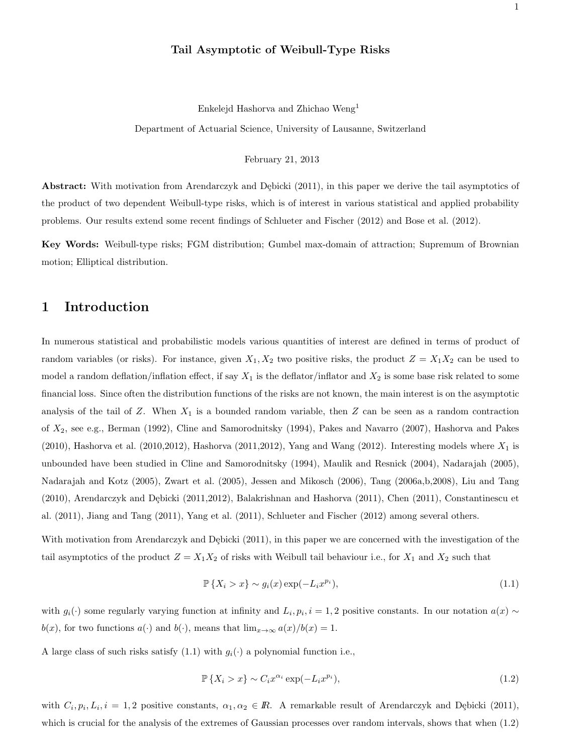#### Tail Asymptotic of Weibull-Type Risks

Enkelejd Hashorva and Zhichao Weng<sup>1</sup>

Department of Actuarial Science, University of Lausanne, Switzerland

February 21, 2013

Abstract: With motivation from Arendarczyk and Dębicki (2011), in this paper we derive the tail asymptotics of the product of two dependent Weibull-type risks, which is of interest in various statistical and applied probability problems. Our results extend some recent findings of Schlueter and Fischer (2012) and Bose et al. (2012).

Key Words: Weibull-type risks; FGM distribution; Gumbel max-domain of attraction; Supremum of Brownian motion; Elliptical distribution.

# 1 Introduction

In numerous statistical and probabilistic models various quantities of interest are defined in terms of product of random variables (or risks). For instance, given  $X_1, X_2$  two positive risks, the product  $Z = X_1 X_2$  can be used to model a random deflation/inflation effect, if say  $X_1$  is the deflator/inflator and  $X_2$  is some base risk related to some financial loss. Since often the distribution functions of the risks are not known, the main interest is on the asymptotic analysis of the tail of  $Z$ . When  $X_1$  is a bounded random variable, then  $Z$  can be seen as a random contraction of X2, see e.g., Berman (1992), Cline and Samorodnitsky (1994), Pakes and Navarro (2007), Hashorva and Pakes  $(2010)$ , Hashorva et al.  $(2010,2012)$ , Hashorva  $(2011,2012)$ , Yang and Wang  $(2012)$ . Interesting models where  $X_1$  is unbounded have been studied in Cline and Samorodnitsky (1994), Maulik and Resnick (2004), Nadarajah (2005), Nadarajah and Kotz (2005), Zwart et al. (2005), Jessen and Mikosch (2006), Tang (2006a,b,2008), Liu and Tang  $(2010)$ , Arendarczyk and Dębicki  $(2011,2012)$ , Balakrishnan and Hashorva  $(2011)$ , Chen  $(2011)$ , Constantinescu et al. (2011), Jiang and Tang (2011), Yang et al. (2011), Schlueter and Fischer (2012) among several others.

With motivation from Arendarczyk and Dębicki (2011), in this paper we are concerned with the investigation of the tail asymptotics of the product  $Z = X_1 X_2$  of risks with Weibull tail behaviour i.e., for  $X_1$  and  $X_2$  such that

$$
\mathbb{P}\left\{X_i > x\right\} \sim g_i(x) \exp(-L_i x^{p_i}),\tag{1.1}
$$

with  $g_i(\cdot)$  some regularly varying function at infinity and  $L_i, p_i, i = 1, 2$  positive constants. In our notation  $a(x) \sim$  $b(x)$ , for two functions  $a(\cdot)$  and  $b(\cdot)$ , means that  $\lim_{x\to\infty} a(x)/b(x) = 1$ .

A large class of such risks satisfy (1.1) with  $g_i(\cdot)$  a polynomial function i.e.,

$$
\mathbb{P}\left\{X_i > x\right\} \sim C_i x^{\alpha_i} \exp(-L_i x^{p_i}),\tag{1.2}
$$

with  $C_i, p_i, L_i, i = 1, 2$  positive constants,  $\alpha_1, \alpha_2 \in \mathbb{R}$ . A remarkable result of Arendarczyk and Dębicki (2011), which is crucial for the analysis of the extremes of Gaussian processes over random intervals, shows that when (1.2)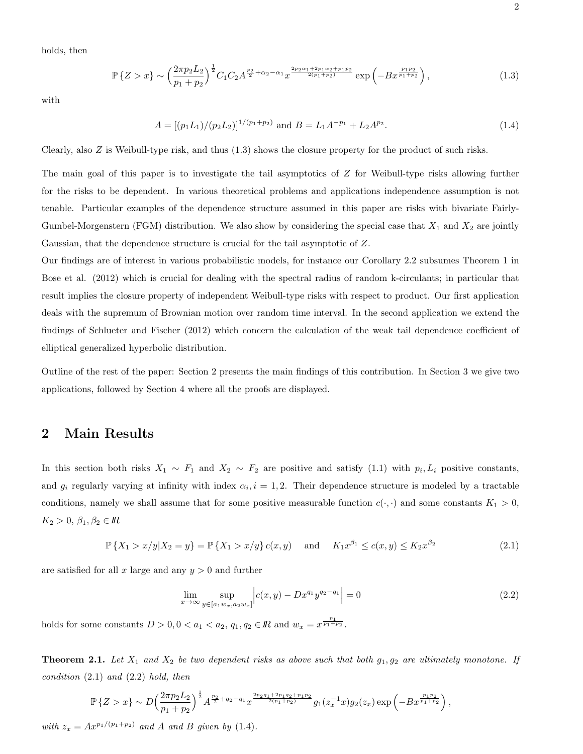holds, then

$$
\mathbb{P}\left\{Z > x\right\} \sim \left(\frac{2\pi p_2 L_2}{p_1 + p_2}\right)^{\frac{1}{2}} C_1 C_2 A^{\frac{p_2}{2} + \alpha_2 - \alpha_1} x^{\frac{2p_2 \alpha_1 + 2p_1 \alpha_2 + p_1 p_2}{2(p_1 + p_2)}} \exp\left(-B x^{\frac{p_1 p_2}{p_1 + p_2}}\right),\tag{1.3}
$$

with

$$
A = \left[ (p_1 L_1) / (p_2 L_2) \right]^{1/(p_1 + p_2)} \text{ and } B = L_1 A^{-p_1} + L_2 A^{p_2}.
$$
 (1.4)

Clearly, also Z is Weibull-type risk, and thus (1.3) shows the closure property for the product of such risks.

The main goal of this paper is to investigate the tail asymptotics of Z for Weibull-type risks allowing further for the risks to be dependent. In various theoretical problems and applications independence assumption is not tenable. Particular examples of the dependence structure assumed in this paper are risks with bivariate Fairly-Gumbel-Morgenstern (FGM) distribution. We also show by considering the special case that  $X_1$  and  $X_2$  are jointly Gaussian, that the dependence structure is crucial for the tail asymptotic of Z.

Our findings are of interest in various probabilistic models, for instance our Corollary 2.2 subsumes Theorem 1 in Bose et al. (2012) which is crucial for dealing with the spectral radius of random k-circulants; in particular that result implies the closure property of independent Weibull-type risks with respect to product. Our first application deals with the supremum of Brownian motion over random time interval. In the second application we extend the findings of Schlueter and Fischer (2012) which concern the calculation of the weak tail dependence coefficient of elliptical generalized hyperbolic distribution.

Outline of the rest of the paper: Section 2 presents the main findings of this contribution. In Section 3 we give two applications, followed by Section 4 where all the proofs are displayed.

# 2 Main Results

In this section both risks  $X_1 \sim F_1$  and  $X_2 \sim F_2$  are positive and satisfy (1.1) with  $p_i, L_i$  positive constants, and  $g_i$  regularly varying at infinity with index  $\alpha_i$ ,  $i = 1, 2$ . Their dependence structure is modeled by a tractable conditions, namely we shall assume that for some positive measurable function  $c(\cdot, \cdot)$  and some constants  $K_1 > 0$ ,  $K_2 > 0, \beta_1, \beta_2 \in \mathbb{R}$ 

$$
\mathbb{P}\left\{X_1 > x/y | X_2 = y\right\} = \mathbb{P}\left\{X_1 > x/y\right\} c(x, y) \quad \text{and} \quad K_1 x^{\beta_1} \le c(x, y) \le K_2 x^{\beta_2} \tag{2.1}
$$

are satisfied for all x large and any  $y > 0$  and further

$$
\lim_{x \to \infty} \sup_{y \in [a_1 w_x, a_2 w_x]} \left| c(x, y) - D x^{q_1} y^{q_2 - q_1} \right| = 0 \tag{2.2}
$$

holds for some constants  $D > 0, 0 < a_1 < a_2, q_1, q_2 \in \mathbb{R}$  and  $w_x = x^{\frac{p_1}{p_1 + p_2}}$ .

**Theorem 2.1.** Let  $X_1$  and  $X_2$  be two dependent risks as above such that both  $g_1, g_2$  are ultimately monotone. If  $condition (2.1) and (2.2) hold, then$ 

$$
\mathbb{P}\left\{Z>x\right\} \sim D\left(\frac{2\pi p_2 L_2}{p_1 + p_2}\right)^{\frac{1}{2}} A^{\frac{p_2}{2} + q_2 - q_1} x^{\frac{2p_2 q_1 + 2p_1 q_2 + p_1 p_2}{2(p_1 + p_2)}} g_1(z_x^{-1}x) g_2(z_x) \exp\left(-Bx^{\frac{p_1 p_2}{p_1 + p_2}}\right),
$$

with  $z_x = Ax^{p_1/(p_1+p_2)}$  and A and B given by (1.4).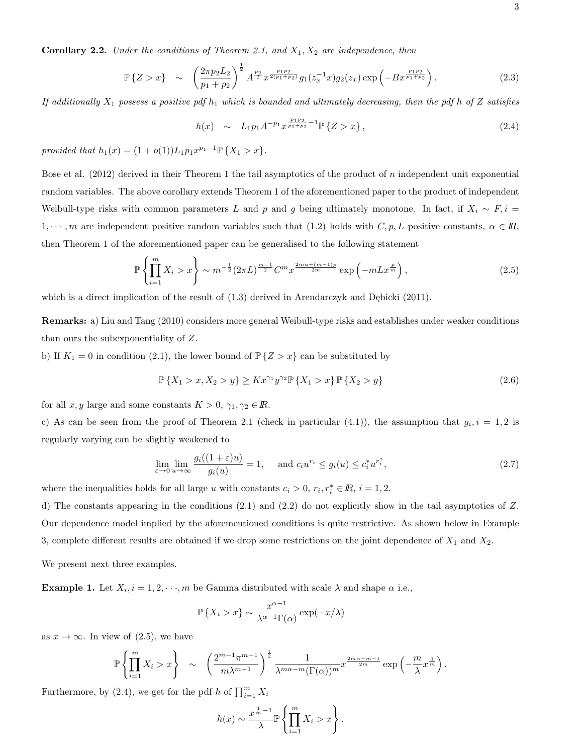**Corollary 2.2.** Under the conditions of Theorem 2.1, and  $X_1, X_2$  are independence, then

$$
\mathbb{P}\left\{Z > x\right\} \sim \left(\frac{2\pi p_2 L_2}{p_1 + p_2}\right)^{\frac{1}{2}} A^{\frac{p_2}{2}} x^{\frac{p_1 p_2}{2(p_1 + p_2)}} g_1(z_x^{-1} x) g_2(z_x) \exp\left(-Bx^{\frac{p_1 p_2}{p_1 + p_2}}\right). \tag{2.3}
$$

If additionally  $X_1$  possess a positive pdf  $h_1$  which is bounded and ultimately decreasing, then the pdf h of Z satisfies

$$
h(x) \sim L_1 p_1 A^{-p_1} x^{\frac{p_1 p_2}{p_1 + p_2} - 1} \mathbb{P} \{ Z > x \}, \qquad (2.4)
$$

provided that  $h_1(x) = (1 + o(1))L_1p_1x^{p_1-1} \mathbb{P} \{X_1 > x\}.$ 

Bose et al.  $(2012)$  derived in their Theorem 1 the tail asymptotics of the product of n independent unit exponential random variables. The above corollary extends Theorem 1 of the aforementioned paper to the product of independent Weibull-type risks with common parameters L and p and g being ultimately monotone. In fact, if  $X_i \sim F_i$ , i  $1, \dots, m$  are independent positive random variables such that (1.2) holds with  $C, p, L$  positive constants,  $\alpha \in \mathbb{R}$ , then Theorem 1 of the aforementioned paper can be generalised to the following statement

$$
\mathbb{P}\left\{\prod_{i=1}^{m}X_{i} > x\right\} \sim m^{-\frac{1}{2}} (2\pi L)^{\frac{m-1}{2}} C^{m} x^{\frac{2m\alpha + (m-1)p}{2m}} \exp\left(-mLx^{\frac{p}{m}}\right),\tag{2.5}
$$

which is a direct implication of the result of  $(1.3)$  derived in Arendarczyk and Dębicki  $(2011)$ .

Remarks: a) Liu and Tang (2010) considers more general Weibull-type risks and establishes under weaker conditions than ours the subexponentiality of Z.

b) If  $K_1 = 0$  in condition (2.1), the lower bound of  $\mathbb{P}\{Z > x\}$  can be substituted by

$$
\mathbb{P}\left\{X_1 > x, X_2 > y\right\} \ge Kx^{\gamma_1}y^{\gamma_2}\mathbb{P}\left\{X_1 > x\right\}\mathbb{P}\left\{X_2 > y\right\} \tag{2.6}
$$

for all  $x, y$  large and some constants  $K > 0$ ,  $\gamma_1, \gamma_2 \in \mathbb{R}$ .

c) As can be seen from the proof of Theorem 2.1 (check in particular  $(4.1)$ ), the assumption that  $g_i, i = 1, 2$  is regularly varying can be slightly weakened to

$$
\lim_{\varepsilon \to 0} \lim_{u \to \infty} \frac{g_i((1+\varepsilon)u)}{g_i(u)} = 1, \quad \text{and } c_i u^{r_i} \le g_i(u) \le c_i^* u^{r_i^*},\tag{2.7}
$$

where the inequalities holds for all large u with constants  $c_i > 0$ ,  $r_i, r_i^* \in \mathbb{R}$ ,  $i = 1, 2$ .

d) The constants appearing in the conditions  $(2.1)$  and  $(2.2)$  do not explicitly show in the tail asymptotics of Z. Our dependence model implied by the aforementioned conditions is quite restrictive. As shown below in Example 3, complete different results are obtained if we drop some restrictions on the joint dependence of  $X_1$  and  $X_2$ .

We present next three examples.

**Example 1.** Let  $X_i$ ,  $i = 1, 2, \dots, m$  be Gamma distributed with scale  $\lambda$  and shape  $\alpha$  i.e.,

$$
\mathbb{P}\left\{X_i > x\right\} \sim \frac{x^{\alpha - 1}}{\lambda^{\alpha - 1} \Gamma(\alpha)} \exp(-x/\lambda)
$$

as  $x \to \infty$ . In view of (2.5), we have

$$
\mathbb{P}\left\{\prod_{i=1}^m X_i > x\right\} \sim \left(\frac{2^{m-1}\pi^{m-1}}{m\lambda^{m-1}}\right)^{\frac{1}{2}} \frac{1}{\lambda^{m\alpha-m}(\Gamma(\alpha))^m} x^{\frac{2m\alpha-m-1}{2m}} \exp\left(-\frac{m}{\lambda}x^{\frac{1}{m}}\right).
$$

Furthermore, by (2.4), we get for the pdf h of  $\prod_{i=1}^{m} X_i$ 

$$
h(x) \sim \frac{x^{\frac{1}{m}-1}}{\lambda} \mathbb{P}\left\{\prod_{i=1}^{m} X_i > x\right\}.
$$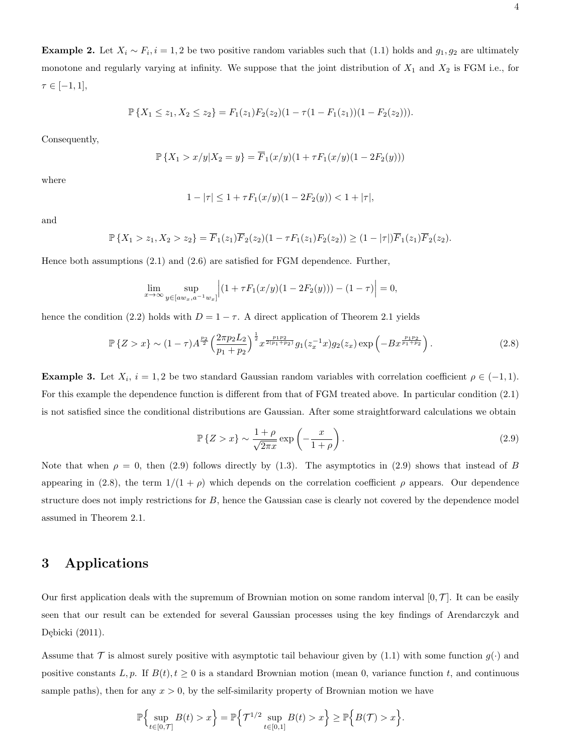**Example 2.** Let  $X_i \sim F_i$ ,  $i = 1, 2$  be two positive random variables such that (1.1) holds and  $g_1, g_2$  are ultimately monotone and regularly varying at infinity. We suppose that the joint distribution of  $X_1$  and  $X_2$  is FGM i.e., for  $\tau \in [-1,1],$ 

$$
\mathbb{P}\left\{X_1 \leq z_1, X_2 \leq z_2\right\} = F_1(z_1)F_2(z_2)(1 - \tau(1 - F_1(z_1))(1 - F_2(z_2))).
$$

Consequently,

$$
\mathbb{P}\left\{X_1>x/y|X_2=y\right\} = \overline{F}_1(x/y)(1+\tau F_1(x/y)(1-2F_2(y)))
$$

where

$$
1 - |\tau| \le 1 + \tau F_1(x/y)(1 - 2F_2(y)) < 1 + |\tau|,
$$

and

$$
\mathbb{P}\left\{X_1 > z_1, X_2 > z_2\right\} = \overline{F}_1(z_1)\overline{F}_2(z_2)(1 - \tau F_1(z_1)F_2(z_2)) \ge (1 - |\tau|)\overline{F}_1(z_1)\overline{F}_2(z_2).
$$

Hence both assumptions (2.1) and (2.6) are satisfied for FGM dependence. Further,

$$
\lim_{x \to \infty} \sup_{y \in [aw_x, a^{-1}w_x]} \left| (1 + \tau F_1(x/y)(1 - 2F_2(y))) - (1 - \tau) \right| = 0,
$$

hence the condition (2.2) holds with  $D = 1 - \tau$ . A direct application of Theorem 2.1 yields

$$
\mathbb{P}\left\{Z > x\right\} \sim (1-\tau)A^{\frac{p_2}{2}} \left(\frac{2\pi p_2 L_2}{p_1 + p_2}\right)^{\frac{1}{2}} x^{\frac{p_1 p_2}{2(p_1 + p_2)}} g_1(z_x^{-1}x) g_2(z_x) \exp\left(-Bx^{\frac{p_1 p_2}{p_1 + p_2}}\right). \tag{2.8}
$$

**Example 3.** Let  $X_i$ ,  $i = 1, 2$  be two standard Gaussian random variables with correlation coefficient  $\rho \in (-1, 1)$ . For this example the dependence function is different from that of FGM treated above. In particular condition (2.1) is not satisfied since the conditional distributions are Gaussian. After some straightforward calculations we obtain

$$
\mathbb{P}\left\{Z > x\right\} \sim \frac{1+\rho}{\sqrt{2\pi x}} \exp\left(-\frac{x}{1+\rho}\right). \tag{2.9}
$$

Note that when  $\rho = 0$ , then (2.9) follows directly by (1.3). The asymptotics in (2.9) shows that instead of B appearing in (2.8), the term  $1/(1 + \rho)$  which depends on the correlation coefficient  $\rho$  appears. Our dependence structure does not imply restrictions for B, hence the Gaussian case is clearly not covered by the dependence model assumed in Theorem 2.1.

### 3 Applications

Our first application deals with the supremum of Brownian motion on some random interval  $[0, \mathcal{T}]$ . It can be easily seen that our result can be extended for several Gaussian processes using the key findings of Arendarczyk and Dębicki (2011).

Assume that  $\mathcal T$  is almost surely positive with asymptotic tail behaviour given by (1.1) with some function  $g(\cdot)$  and positive constants  $L, p$ . If  $B(t), t \geq 0$  is a standard Brownian motion (mean 0, variance function t, and continuous sample paths), then for any  $x > 0$ , by the self-similarity property of Brownian motion we have

$$
\mathbb{P}\Big\{\sup_{t\in[0,\mathcal{T}]}B(t)>x\Big\}=\mathbb{P}\Big\{\mathcal{T}^{1/2}\sup_{t\in[0,1]}B(t)>x\Big\}\geq\mathbb{P}\Big\{B(\mathcal{T})>x\Big\}.
$$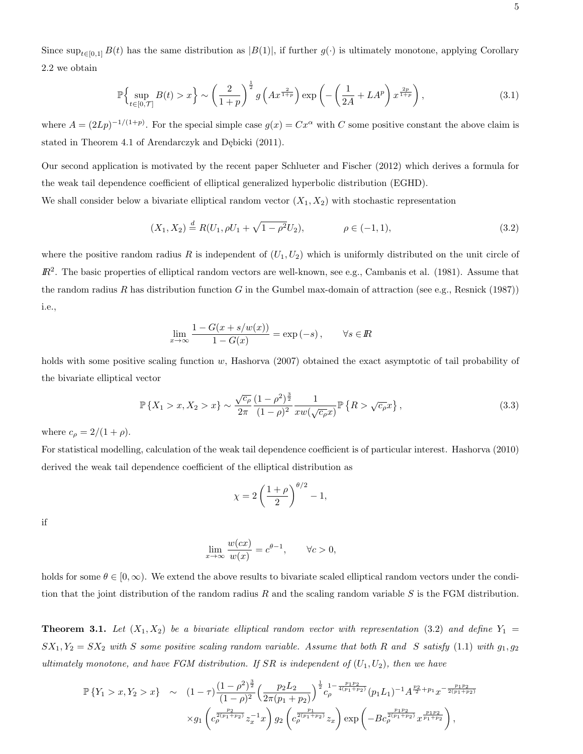Since  $\sup_{t\in[0,1]} B(t)$  has the same distribution as  $|B(1)|$ , if further  $g(\cdot)$  is ultimately monotone, applying Corollary 2.2 we obtain

$$
\mathbb{P}\left\{\sup_{t\in[0,\mathcal{T}]}B(t)>x\right\}\sim\left(\frac{2}{1+p}\right)^{\frac{1}{2}}g\left(Ax^{\frac{2}{1+p}}\right)\exp\left(-\left(\frac{1}{2A}+LA^{p}\right)x^{\frac{2p}{1+p}}\right),\tag{3.1}
$$

where  $A = (2Lp)^{-1/(1+p)}$ . For the special simple case  $g(x) = Cx^{\alpha}$  with C some positive constant the above claim is stated in Theorem 4.1 of Arendarczyk and Dębicki (2011).

Our second application is motivated by the recent paper Schlueter and Fischer (2012) which derives a formula for the weak tail dependence coefficient of elliptical generalized hyperbolic distribution (EGHD).

We shall consider below a bivariate elliptical random vector  $(X_1, X_2)$  with stochastic representation

$$
(X_1, X_2) \stackrel{d}{=} R(U_1, \rho U_1 + \sqrt{1 - \rho^2} U_2), \qquad \rho \in (-1, 1), \tag{3.2}
$$

where the positive random radius R is independent of  $(U_1, U_2)$  which is uniformly distributed on the unit circle of  $\mathbb{R}^2$ . The basic properties of elliptical random vectors are well-known, see e.g., Cambanis et al. (1981). Assume that the random radius R has distribution function G in the Gumbel max-domain of attraction (see e.g., Resnick (1987)) i.e.,

$$
\lim_{x \to \infty} \frac{1 - G(x + s/w(x))}{1 - G(x)} = \exp(-s), \qquad \forall s \in \mathbb{R}
$$

holds with some positive scaling function w, Hashorva (2007) obtained the exact asymptotic of tail probability of the bivariate elliptical vector

$$
\mathbb{P}\left\{X_1 > x, X_2 > x\right\} \sim \frac{\sqrt{c_\rho}}{2\pi} \frac{(1-\rho^2)^{\frac{3}{2}}}{(1-\rho)^2} \frac{1}{xw(\sqrt{c_\rho}x)} \mathbb{P}\left\{R > \sqrt{c_\rho}x\right\},\tag{3.3}
$$

where  $c_{\rho} = 2/(1 + \rho)$ .

For statistical modelling, calculation of the weak tail dependence coefficient is of particular interest. Hashorva (2010) derived the weak tail dependence coefficient of the elliptical distribution as

$$
\chi = 2\left(\frac{1+\rho}{2}\right)^{\theta/2} - 1,
$$

if

$$
\lim_{x \to \infty} \frac{w(cx)}{w(x)} = c^{\theta - 1}, \qquad \forall c > 0,
$$

holds for some  $\theta \in [0,\infty)$ . We extend the above results to bivariate scaled elliptical random vectors under the condition that the joint distribution of the random radius R and the scaling random variable S is the FGM distribution.

**Theorem 3.1.** Let  $(X_1, X_2)$  be a bivariate elliptical random vector with representation (3.2) and define  $Y_1$  =  $SX_1, Y_2 = SX_2$  with S some positive scaling random variable. Assume that both R and S satisfy (1.1) with  $g_1, g_2$ ultimately monotone, and have FGM distribution. If SR is independent of  $(U_1, U_2)$ , then we have

$$
\mathbb{P}\left\{Y_1 > x, Y_2 > x\right\} \sim (1-\tau)\frac{\left(1-\rho^2\right)^{\frac{3}{2}}}{\left(1-\rho\right)^2} \left(\frac{p_2 L_2}{2\pi (p_1+p_2)}\right)^{\frac{1}{2}} c_\rho^{1-\frac{p_1 p_2}{4(p_1+p_2)}} (p_1 L_1)^{-1} A^{\frac{p_2}{2}+p_1} x^{-\frac{p_1 p_2}{2(p_1+p_2)}} \times g_1\left(c_\rho^{\frac{p_2}{2(p_1+p_2)}} z_x^{-1} x\right) g_2\left(c_\rho^{\frac{p_1}{2(p_1+p_2)}} z_x\right) \exp\left(-B c_\rho^{\frac{p_1 p_2}{2(p_1+p_2)}} x^{\frac{p_1 p_2}{p_1+p_2}}\right),
$$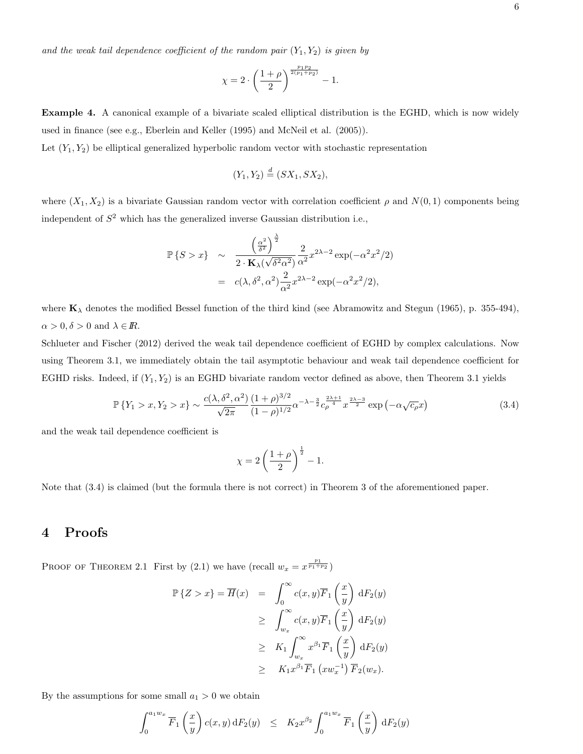$$
\chi=2\cdot\left(\frac{1+\rho}{2}\right)^{\frac{p_1p_2}{2(p_1+p_2)}}-1.
$$

Example 4. A canonical example of a bivariate scaled elliptical distribution is the EGHD, which is now widely used in finance (see e.g., Eberlein and Keller (1995) and McNeil et al. (2005)).

Let  $(Y_1, Y_2)$  be elliptical generalized hyperbolic random vector with stochastic representation

$$
(Y_1, Y_2) \stackrel{d}{=} (SX_1, SX_2),
$$

where  $(X_1, X_2)$  is a bivariate Gaussian random vector with correlation coefficient  $\rho$  and  $N(0, 1)$  components being independent of  $S<sup>2</sup>$  which has the generalized inverse Gaussian distribution i.e.,

$$
\mathbb{P}\left\{S > x\right\} \sim \frac{\left(\frac{\alpha^2}{\delta^2}\right)^{\frac{\lambda}{2}}}{2 \cdot \mathbf{K}_{\lambda}(\sqrt{\delta^2 \alpha^2})} \frac{2}{\alpha^2} x^{2\lambda - 2} \exp(-\alpha^2 x^2/2)
$$

$$
= c(\lambda, \delta^2, \alpha^2) \frac{2}{\alpha^2} x^{2\lambda - 2} \exp(-\alpha^2 x^2/2),
$$

where  $\mathbf{K}_{\lambda}$  denotes the modified Bessel function of the third kind (see Abramowitz and Stegun (1965), p. 355-494),  $\alpha > 0, \delta > 0$  and  $\lambda \in \mathbb{R}$ .

Schlueter and Fischer (2012) derived the weak tail dependence coefficient of EGHD by complex calculations. Now using Theorem 3.1, we immediately obtain the tail asymptotic behaviour and weak tail dependence coefficient for EGHD risks. Indeed, if  $(Y_1, Y_2)$  is an EGHD bivariate random vector defined as above, then Theorem 3.1 yields

$$
\mathbb{P}\left\{Y_1 > x, Y_2 > x\right\} \sim \frac{c(\lambda, \delta^2, \alpha^2)}{\sqrt{2\pi}} \frac{(1+\rho)^{3/2}}{(1-\rho)^{1/2}} \alpha^{-\lambda - \frac{3}{2}} c_\rho^{\frac{2\lambda+1}{4}} x^{\frac{2\lambda-3}{2}} \exp\left(-\alpha \sqrt{c_\rho} x\right) \tag{3.4}
$$

and the weak tail dependence coefficient is

$$
\chi = 2\left(\frac{1+\rho}{2}\right)^{\frac{1}{2}} - 1.
$$

Note that (3.4) is claimed (but the formula there is not correct) in Theorem 3 of the aforementioned paper.

# 4 Proofs

PROOF OF THEOREM 2.1 First by (2.1) we have (recall  $w_x = x^{\frac{p_1}{p_1+p_2}}$ )

$$
\mathbb{P}\{Z > x\} = \overline{H}(x) = \int_0^\infty c(x, y)\overline{F}_1\left(\frac{x}{y}\right) dF_2(y)
$$
  
\n
$$
\geq \int_{w_x}^\infty c(x, y)\overline{F}_1\left(\frac{x}{y}\right) dF_2(y)
$$
  
\n
$$
\geq K_1 \int_{w_x}^\infty x^{\beta_1} \overline{F}_1\left(\frac{x}{y}\right) dF_2(y)
$$
  
\n
$$
\geq K_1 x^{\beta_1} \overline{F}_1\left(xw_x^{-1}\right) \overline{F}_2(w_x).
$$

By the assumptions for some small  $a_1 > 0$  we obtain

$$
\int_0^{a_1w_x} \overline{F}_1\left(\frac{x}{y}\right) c(x,y) \,dF_2(y) \leq K_2 x^{\beta_2} \int_0^{a_1w_x} \overline{F}_1\left(\frac{x}{y}\right) dF_2(y)
$$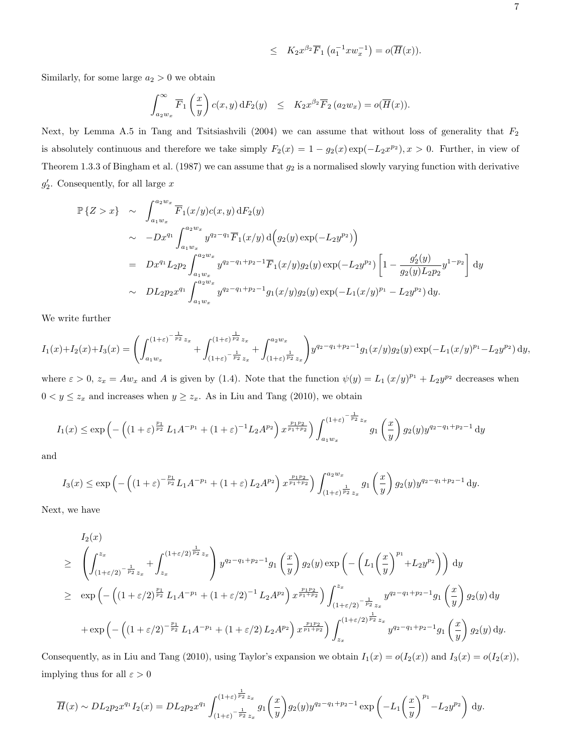$$
\leq K_2 x^{\beta_2} \overline{F}_1 \left( a_1^{-1} x w_x^{-1} \right) = o(\overline{H}(x)).
$$

Similarly, for some large  $a_2 > 0$  we obtain

$$
\int_{a_2w_x}^{\infty} \overline{F}_1\left(\frac{x}{y}\right) c(x,y) dF_2(y) \leq K_2 x^{\beta_2} \overline{F}_2(a_2w_x) = o(\overline{H}(x)).
$$

Next, by Lemma A.5 in Tang and Tsitsiashvili (2004) we can assume that without loss of generality that  $F_2$ is absolutely continuous and therefore we take simply  $F_2(x) = 1 - g_2(x) \exp(-L_2 x^{p_2})$ ,  $x > 0$ . Further, in view of Theorem 1.3.3 of Bingham et al. (1987) we can assume that  $g_2$  is a normalised slowly varying function with derivative  $g'_{2}$ . Consequently, for all large x

$$
\mathbb{P}\{Z > x\} \sim \int_{a_1w_x}^{a_2w_x} \overline{F}_1(x/y)c(x, y) \,dF_2(y)
$$
  
\n
$$
\sim -Dx^{q_1} \int_{a_1w_x}^{a_2w_x} y^{q_2-q_1} \overline{F}_1(x/y) \,d\Big(g_2(y) \exp(-L_2y^{p_2})\Big)
$$
  
\n
$$
= Dx^{q_1} L_2p_2 \int_{a_1w_x}^{a_2w_x} y^{q_2-q_1+p_2-1} \overline{F}_1(x/y)g_2(y) \exp(-L_2y^{p_2}) \left[1 - \frac{g'_2(y)}{g_2(y)L_2p_2} y^{1-p_2}\right] dy
$$
  
\n
$$
\sim DL_2p_2x^{q_1} \int_{a_1w_x}^{a_2w_x} y^{q_2-q_1+p_2-1} g_1(x/y)g_2(y) \exp(-L_1(x/y)^{p_1} - L_2y^{p_2}) dy.
$$

We write further

$$
I_1(x) + I_2(x) + I_3(x) = \left( \int_{a_1 w_x}^{(1+\varepsilon)^{-\frac{1}{p_2}}z_x} + \int_{(1+\varepsilon)^{-\frac{1}{p_2}}z_x}^{(1+\varepsilon)^{\frac{1}{p_2}}z_x} + \int_{(1+\varepsilon)^{\frac{1}{p_2}}z_x}^{a_2 w_x} \right) y^{q_2 - q_1 + p_2 - 1} g_1(x/y) g_2(y) \exp(-L_1(x/y)^{p_1} - L_2 y^{p_2}) dy,
$$

where  $\varepsilon > 0$ ,  $z_x = Aw_x$  and A is given by (1.4). Note that the function  $\psi(y) = L_1 (x/y)^{p_1} + L_2 y^{p_2}$  decreases when  $0 < y \leq z_x$  and increases when  $y \geq z_x$ . As in Liu and Tang (2010), we obtain

$$
I_1(x) \le \exp\left(-\left((1+\varepsilon)^{\frac{p_1}{p_2}}L_1A^{-p_1} + (1+\varepsilon)^{-1}L_2A^{p_2}\right)x^{\frac{p_1p_2}{p_1+p_2}}\right)\int_{a_1w_x}^{(1+\varepsilon)^{-\frac{1}{p_2}}z_x} g_1\left(\frac{x}{y}\right)g_2(y)y^{q_2-q_1+p_2-1}\,dy
$$

and

$$
I_3(x) \le \exp\left(-\left((1+\varepsilon)^{-\frac{p_1}{p_2}}L_1A^{-p_1} + (1+\varepsilon)L_2A^{p_2}\right)x^{\frac{p_1p_2}{p_1+p_2}}\right)\int_{(1+\varepsilon)^{\frac{1}{p_2}}z_x}^{a_2w_x} g_1\left(\frac{x}{y}\right)g_2(y)y^{q_2-q_1+p_2-1}\,dy.
$$

Next, we have

$$
I_2(x)
$$
\n
$$
\geq \left( \int_{(1+\varepsilon/2)^{-\frac{1}{p_2}}z_x}^{z_x} + \int_{z_x}^{(1+\varepsilon/2)^{\frac{1}{p_2}}z_x} \right) y^{q_2-q_1+p_2-1} g_1\left(\frac{x}{y}\right) g_2(y) \exp\left(-\left(L_1\left(\frac{x}{y}\right)^{p_1} + L_2y^{p_2}\right)\right) dy
$$
\n
$$
\geq \exp\left(-\left((1+\varepsilon/2)^{\frac{p_1}{p_2}}L_1A^{-p_1} + (1+\varepsilon/2)^{-1}L_2A^{p_2}\right)x^{\frac{p_1p_2}{p_1+p_2}}\right) \int_{(1+\varepsilon/2)^{-\frac{1}{p_2}}z_x}^{z_x} y^{q_2-q_1+p_2-1} g_1\left(\frac{x}{y}\right) g_2(y) dy
$$
\n
$$
+ \exp\left(-\left((1+\varepsilon/2)^{-\frac{p_1}{p_2}}L_1A^{-p_1} + (1+\varepsilon/2)L_2A^{p_2}\right)x^{\frac{p_1p_2}{p_1+p_2}}\right) \int_{z_x}^{(1+\varepsilon/2)^{\frac{1}{p_2}}z_x} y^{q_2-q_1+p_2-1} g_1\left(\frac{x}{y}\right) g_2(y) dy.
$$

Consequently, as in Liu and Tang (2010), using Taylor's expansion we obtain  $I_1(x) = o(I_2(x))$  and  $I_3(x) = o(I_2(x))$ , implying thus for all  $\varepsilon > 0$ 

$$
\overline{H}(x) \sim DL_2 p_2 x^{q_1} I_2(x) = DL_2 p_2 x^{q_1} \int_{(1+\varepsilon)^{-\frac{1}{p_2}} z_x}^{(1+\varepsilon)^{\frac{1}{p_2}} z_x} g_1\left(\frac{x}{y}\right) g_2(y) y^{q_2-q_1+p_2-1} \exp\left(-L_1\left(\frac{x}{y}\right)^{p_1} - L_2 y^{p_2}\right) dy.
$$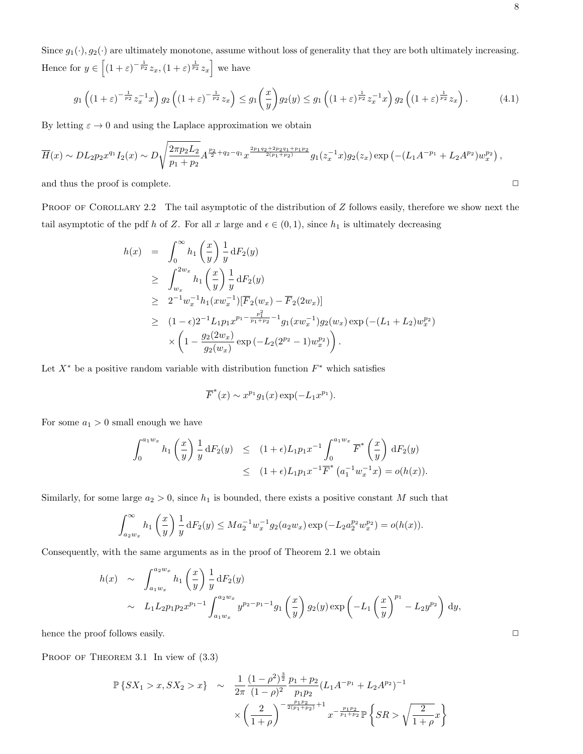Since  $g_1(\cdot), g_2(\cdot)$  are ultimately monotone, assume without loss of generality that they are both ultimately increasing. Hence for  $y \in \left[ (1+\varepsilon)^{-\frac{1}{p_2}} z_x, (1+\varepsilon)^{\frac{1}{p_2}} z_x \right]$  we have

$$
g_1\left((1+\varepsilon)^{-\frac{1}{p_2}}z_x^{-1}x\right)g_2\left((1+\varepsilon)^{-\frac{1}{p_2}}z_x\right)\le g_1\left(\frac{x}{y}\right)g_2(y)\le g_1\left((1+\varepsilon)^{\frac{1}{p_2}}z_x^{-1}x\right)g_2\left((1+\varepsilon)^{\frac{1}{p_2}}z_x\right).
$$
 (4.1)

By letting  $\varepsilon \to 0$  and using the Laplace approximation we obtain

$$
\overline{H}(x) \sim DL_2 p_2 x^{q_1} I_2(x) \sim D \sqrt{\frac{2 \pi p_2 L_2}{p_1 + p_2}} A^{\frac{p_2}{2} + q_2 - q_1} x^{\frac{2p_1 q_2 + 2p_2 q_1 + p_1 p_2}{2(p_1 + p_2)}} g_1(z_x^{-1} x) g_2(z_x) \exp\left(-(L_1 A^{-p_1} + L_2 A^{p_2}) w_x^{p_2}\right),
$$

and thus the proof is complete.  $\Box$ 

PROOF OF COROLLARY 2.2 The tail asymptotic of the distribution of  $Z$  follows easily, therefore we show next the tail asymptotic of the pdf h of Z. For all x large and  $\epsilon \in (0,1)$ , since  $h_1$  is ultimately decreasing

$$
h(x) = \int_0^\infty h_1\left(\frac{x}{y}\right) \frac{1}{y} dF_2(y)
$$
  
\n
$$
\geq \int_{w_x}^{2w_x} h_1\left(\frac{x}{y}\right) \frac{1}{y} dF_2(y)
$$
  
\n
$$
\geq 2^{-1} w_x^{-1} h_1(xw_x^{-1}) [\overline{F}_2(w_x) - \overline{F}_2(2w_x)]
$$
  
\n
$$
\geq (1 - \epsilon) 2^{-1} L_1 p_1 x^{p_1 - \frac{p_1^2}{p_1 + p_2} - 1} g_1(xw_x^{-1}) g_2(w_x) \exp(-(L_1 + L_2) w_x^{p_2})
$$
  
\n
$$
\times \left(1 - \frac{g_2(2w_x)}{g_2(w_x)} \exp(-L_2(2^{p_2} - 1) w_x^{p_2})\right).
$$

Let  $X^*$  be a positive random variable with distribution function  $F^*$  which satisfies

$$
\overline{F}^*(x) \sim x^{p_1} g_1(x) \exp(-L_1 x^{p_1}).
$$

For some  $a_1 > 0$  small enough we have

$$
\int_0^{a_1 w_x} h_1\left(\frac{x}{y}\right) \frac{1}{y} dF_2(y) \le (1+\epsilon)L_1 p_1 x^{-1} \int_0^{a_1 w_x} \overline{F}^*\left(\frac{x}{y}\right) dF_2(y)
$$
  
 
$$
\le (1+\epsilon)L_1 p_1 x^{-1} \overline{F}^*\left(a_1^{-1} w_x^{-1} x\right) = o(h(x)).
$$

Similarly, for some large  $a_2 > 0$ , since  $h_1$  is bounded, there exists a positive constant M such that

$$
\int_{a_2w_x}^{\infty} h_1\left(\frac{x}{y}\right) \frac{1}{y} dF_2(y) \le Ma_2^{-1} w_x^{-1} g_2(a_2w_x) \exp\left(-L_2 a_2^{p_2} w_x^{p_2}\right) = o(h(x)).
$$

Consequently, with the same arguments as in the proof of Theorem 2.1 we obtain

$$
h(x) \sim \int_{a_1w_x}^{a_2w_x} h_1\left(\frac{x}{y}\right) \frac{1}{y} dF_2(y)
$$
  
 
$$
\sim L_1 L_2 p_1 p_2 x^{p_1-1} \int_{a_1w_x}^{a_2w_x} y^{p_2-p_1-1} g_1\left(\frac{x}{y}\right) g_2(y) \exp\left(-L_1\left(\frac{x}{y}\right)^{p_1} - L_2 y^{p_2}\right) dy,
$$

hence the proof follows easily.  $\Box$ 

PROOF OF THEOREM 3.1 In view of  $(3.3)$ 

$$
\mathbb{P}\left\{SX_1 > x, SX_2 > x\right\} \sim \frac{1}{2\pi} \frac{(1-\rho^2)^{\frac{3}{2}}}{(1-\rho)^2} \frac{p_1 + p_2}{p_1 p_2} (L_1 A^{-p_1} + L_2 A^{p_2})^{-1}
$$

$$
\times \left(\frac{2}{1+\rho}\right)^{-\frac{p_1 p_2}{2(p_1+p_2)}+1} x^{-\frac{p_1 p_2}{p_1+p_2}} \mathbb{P}\left\{SR > \sqrt{\frac{2}{1+\rho}}x\right\}
$$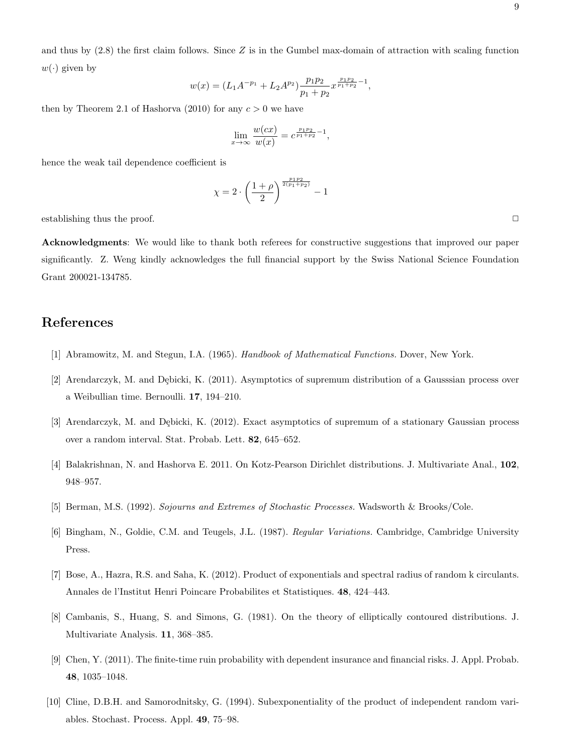and thus by  $(2.8)$  the first claim follows. Since Z is in the Gumbel max-domain of attraction with scaling function  $w(\cdot)$  given by

$$
w(x) = (L_1 A^{-p_1} + L_2 A^{p_2}) \frac{p_1 p_2}{p_1 + p_2} x^{\frac{p_1 p_2}{p_1 + p_2} - 1},
$$

then by Theorem 2.1 of Hashorva (2010) for any  $c > 0$  we have

$$
\lim_{x \to \infty} \frac{w(cx)}{w(x)} = c^{\frac{p_1 p_2}{p_1 + p_2} - 1},
$$

hence the weak tail dependence coefficient is

$$
\chi = 2 \cdot \left(\frac{1+\rho}{2}\right)^{\frac{p_1 p_2}{2(p_1+p_2)}} - 1
$$

establishing thus the proof.  $\Box$ 

Acknowledgments: We would like to thank both referees for constructive suggestions that improved our paper significantly. Z. Weng kindly acknowledges the full financial support by the Swiss National Science Foundation Grant 200021-134785.

# References

- [1] Abramowitz, M. and Stegun, I.A. (1965). Handbook of Mathematical Functions. Dover, New York.
- [2] Arendarczyk, M. and Dębicki, K. (2011). Asymptotics of supremum distribution of a Gausssian process over a Weibullian time. Bernoulli. 17, 194–210.
- [3] Arendarczyk, M. and Debicki, K. (2012). Exact asymptotics of supremum of a stationary Gaussian process over a random interval. Stat. Probab. Lett. 82, 645–652.
- [4] Balakrishnan, N. and Hashorva E. 2011. On Kotz-Pearson Dirichlet distributions. J. Multivariate Anal., 102, 948–957.
- [5] Berman, M.S. (1992). Sojourns and Extremes of Stochastic Processes. Wadsworth & Brooks/Cole.
- [6] Bingham, N., Goldie, C.M. and Teugels, J.L. (1987). Regular Variations. Cambridge, Cambridge University Press.
- [7] Bose, A., Hazra, R.S. and Saha, K. (2012). Product of exponentials and spectral radius of random k circulants. Annales de l'Institut Henri Poincare Probabilites et Statistiques. 48, 424–443.
- [8] Cambanis, S., Huang, S. and Simons, G. (1981). On the theory of elliptically contoured distributions. J. Multivariate Analysis. 11, 368–385.
- [9] Chen, Y. (2011). The finite-time ruin probability with dependent insurance and financial risks. J. Appl. Probab. 48, 1035–1048.
- [10] Cline, D.B.H. and Samorodnitsky, G. (1994). Subexponentiality of the product of independent random variables. Stochast. Process. Appl. 49, 75–98.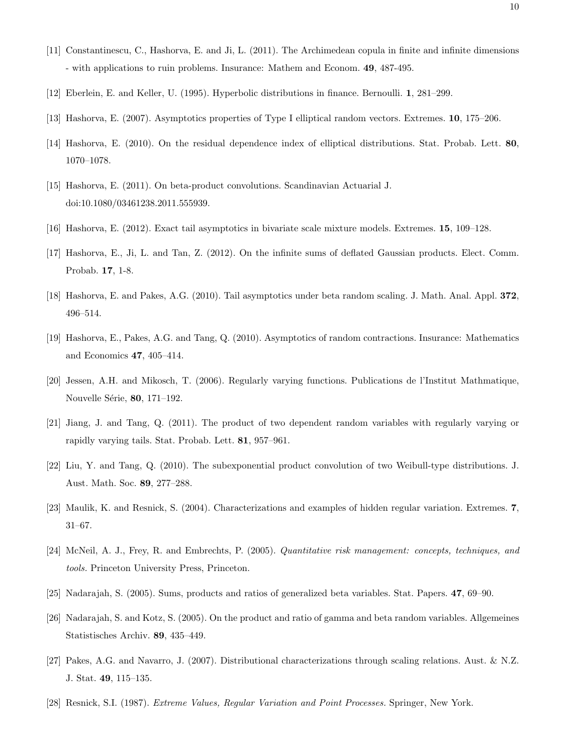- [11] Constantinescu, C., Hashorva, E. and Ji, L. (2011). The Archimedean copula in finite and infinite dimensions - with applications to ruin problems. Insurance: Mathem and Econom. 49, 487-495.
- [12] Eberlein, E. and Keller, U. (1995). Hyperbolic distributions in finance. Bernoulli. 1, 281–299.
- [13] Hashorva, E. (2007). Asymptotics properties of Type I elliptical random vectors. Extremes. 10, 175–206.
- [14] Hashorva, E. (2010). On the residual dependence index of elliptical distributions. Stat. Probab. Lett. 80, 1070–1078.
- [15] Hashorva, E. (2011). On beta-product convolutions. Scandinavian Actuarial J. doi:10.1080/03461238.2011.555939.
- [16] Hashorva, E. (2012). Exact tail asymptotics in bivariate scale mixture models. Extremes. 15, 109–128.
- [17] Hashorva, E., Ji, L. and Tan, Z. (2012). On the infinite sums of deflated Gaussian products. Elect. Comm. Probab. 17, 1-8.
- [18] Hashorva, E. and Pakes, A.G. (2010). Tail asymptotics under beta random scaling. J. Math. Anal. Appl. 372, 496–514.
- [19] Hashorva, E., Pakes, A.G. and Tang, Q. (2010). Asymptotics of random contractions. Insurance: Mathematics and Economics 47, 405–414.
- [20] Jessen, A.H. and Mikosch, T. (2006). Regularly varying functions. Publications de l'Institut Mathmatique, Nouvelle Série, 80, 171-192.
- [21] Jiang, J. and Tang, Q. (2011). The product of two dependent random variables with regularly varying or rapidly varying tails. Stat. Probab. Lett. 81, 957–961.
- [22] Liu, Y. and Tang, Q. (2010). The subexponential product convolution of two Weibull-type distributions. J. Aust. Math. Soc. 89, 277–288.
- [23] Maulik, K. and Resnick, S. (2004). Characterizations and examples of hidden regular variation. Extremes. 7, 31–67.
- [24] McNeil, A. J., Frey, R. and Embrechts, P. (2005). Quantitative risk management: concepts, techniques, and tools. Princeton University Press, Princeton.
- [25] Nadarajah, S. (2005). Sums, products and ratios of generalized beta variables. Stat. Papers. 47, 69–90.
- [26] Nadarajah, S. and Kotz, S. (2005). On the product and ratio of gamma and beta random variables. Allgemeines Statistisches Archiv. 89, 435–449.
- [27] Pakes, A.G. and Navarro, J. (2007). Distributional characterizations through scaling relations. Aust. & N.Z. J. Stat. 49, 115–135.
- [28] Resnick, S.I. (1987). Extreme Values, Regular Variation and Point Processes. Springer, New York.